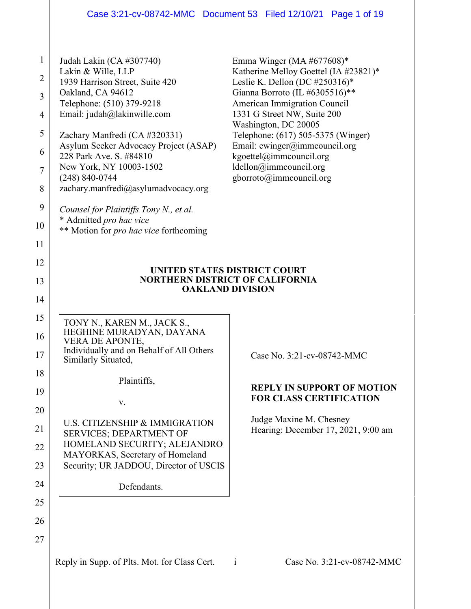## Case 3:21-cv-08742-MMC Document 53 Filed 12/10/21 Page 1 of 19

| $\mathbf{1}$   | Judah Lakin (CA #307740)                                               | Emma Winger (MA $#677608$ )*                                            |
|----------------|------------------------------------------------------------------------|-------------------------------------------------------------------------|
| $\overline{2}$ | Lakin & Wille, LLP<br>1939 Harrison Street, Suite 420                  | Katherine Melloy Goettel (IA #23821)*<br>Leslie K. Dellon (DC #250316)* |
| 3              | Oakland, CA 94612<br>Telephone: (510) 379-9218                         | Gianna Borroto (IL #6305516)**<br>American Immigration Council          |
| $\overline{4}$ | Email: judah@lakinwille.com                                            | 1331 G Street NW, Suite 200                                             |
| 5              | Zachary Manfredi (CA #320331)                                          | Washington, DC 20005<br>Telephone: (617) 505-5375 (Winger)              |
| 6              | Asylum Seeker Advocacy Project (ASAP)<br>228 Park Ave. S. #84810       | Email: $ewinger@immeouncil.org$<br>kgoettel@immcouncil.org              |
| $\overline{7}$ | New York, NY 10003-1502                                                | ldellon@immcouncil.org                                                  |
| 8              | $(248) 840 - 0744$<br>zachary.manfredi@asylumadvocacy.org              | gborroto@immcouncil.org                                                 |
| 9              | Counsel for Plaintiffs Tony N., et al.                                 |                                                                         |
| 10             | * Admitted pro hac vice<br>** Motion for pro hac vice forthcoming      |                                                                         |
| 11             |                                                                        |                                                                         |
| 12             |                                                                        |                                                                         |
| 13             | UNITED STATES DISTRICT COURT<br><b>NORTHERN DISTRICT OF CALIFORNIA</b> |                                                                         |
| 14             |                                                                        | <b>OAKLAND DIVISION</b>                                                 |
| 15             | TONY N., KAREN M., JACK S.,                                            |                                                                         |
| 16             | HEGHINE MURADYAN, DAYANA<br><b>VERA DE APONTE,</b>                     |                                                                         |
| 17             | Individually and on Behalf of All Others<br>Similarly Situated,        | Case No. 3:21-cv-08742-MMC                                              |
| 18             | Plaintiffs,                                                            |                                                                         |
| 19             | v.                                                                     | <b>REPLY IN SUPPORT OF MOTION</b><br><b>FOR CLASS CERTIFICATION</b>     |
| 20             |                                                                        | Judge Maxine M. Chesney                                                 |
| 21             | U.S. CITIZENSHIP & IMMIGRATION<br><b>SERVICES; DEPARTMENT OF</b>       | Hearing: December 17, 2021, 9:00 am                                     |
| 22             | HOMELAND SECURITY; ALEJANDRO<br>MAYORKAS, Secretary of Homeland        |                                                                         |
| 23             | Security; UR JADDOU, Director of USCIS                                 |                                                                         |
| 24             | Defendants.                                                            |                                                                         |
| 25             |                                                                        |                                                                         |
| 26             |                                                                        |                                                                         |
| 27             |                                                                        |                                                                         |
|                | Reply in Supp. of Plts. Mot. for Class Cert.                           | Case No. 3:21-cv-08742-MMC<br>$\mathbf{i}$                              |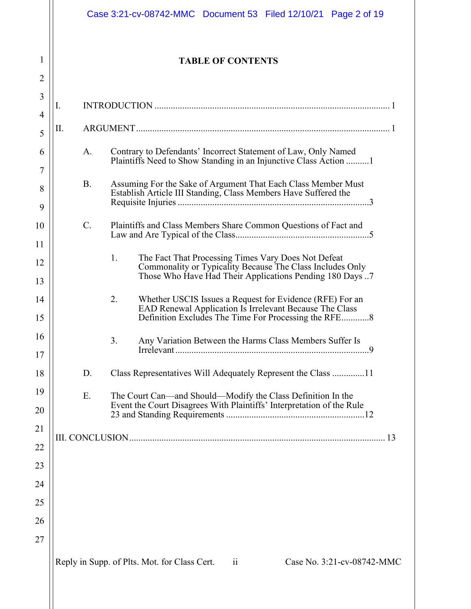|         | Case 3:21-cv-08742-MMC  Document 53  Filed 12/10/21  Page 2 of 19                                                                                                                  |  |
|---------|------------------------------------------------------------------------------------------------------------------------------------------------------------------------------------|--|
| 1<br>2  | <b>TABLE OF CONTENTS</b>                                                                                                                                                           |  |
| 3<br>I. |                                                                                                                                                                                    |  |
| П.      |                                                                                                                                                                                    |  |
|         |                                                                                                                                                                                    |  |
|         | Contrary to Defendants' Incorrect Statement of Law, Only Named<br>A.<br>Plaintiffs Need to Show Standing in an Injunctive Class Action                                             |  |
|         | B.<br>Assuming For the Sake of Argument That Each Class Member Must<br>Establish Article III Standing, Class Members Have Suffered the                                             |  |
| C.      | Plaintiffs and Class Members Share Common Questions of Fact and                                                                                                                    |  |
|         | The Fact That Processing Times Vary Does Not Defeat<br>1.<br>Commonality or Typicality Because The Class Includes Only<br>Those Who Have Had Their Applications Pending 180 Days 7 |  |
|         | 2.<br>Whether USCIS Issues a Request for Evidence (RFE) For an<br>EAD Renewal Application Is Irrelevant Because The Class<br>Definition Excludes The Time For Processing the RFE8  |  |
|         | 3.<br>Any Variation Between the Harms Class Members Suffer Is                                                                                                                      |  |
| D.      |                                                                                                                                                                                    |  |
| E.      | The Court Can—and Should—Modify the Class Definition In the<br>Event the Court Disagrees With Plaintiffs' Interpretation of the Rule                                               |  |
|         |                                                                                                                                                                                    |  |
|         |                                                                                                                                                                                    |  |
|         |                                                                                                                                                                                    |  |
|         |                                                                                                                                                                                    |  |
|         |                                                                                                                                                                                    |  |
|         |                                                                                                                                                                                    |  |
|         | $\overline{\mathbf{11}}$<br>Reply in Supp. of Plts. Mot. for Class Cert.<br>Case No. 3:21-cv-08742-MMC                                                                             |  |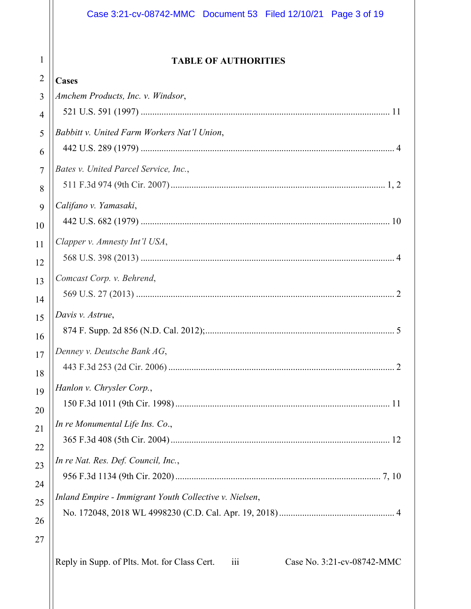## **TABLE OF AUTHORITIES**

| $\angle$       | Cases                                                                                          |
|----------------|------------------------------------------------------------------------------------------------|
| 3              | Amchem Products, Inc. v. Windsor,                                                              |
| $\overline{4}$ |                                                                                                |
| 5              | Babbitt v. United Farm Workers Nat'l Union,                                                    |
| 6              |                                                                                                |
| $\tau$         | Bates v. United Parcel Service, Inc.,                                                          |
| 8              |                                                                                                |
| 9              | Califano v. Yamasaki,                                                                          |
| 10             |                                                                                                |
| 11             | Clapper v. Amnesty Int'l USA,                                                                  |
| 12             |                                                                                                |
| 13             | Comcast Corp. v. Behrend,                                                                      |
| 14             |                                                                                                |
| 15             | Davis v. Astrue,                                                                               |
| 16             |                                                                                                |
| 17             | Denney v. Deutsche Bank AG,                                                                    |
| 18             |                                                                                                |
| 19             | Hanlon v. Chrysler Corp.,                                                                      |
| 20             |                                                                                                |
| 21             | In re Monumental Life Ins. Co.,                                                                |
| 22             |                                                                                                |
| 23             | In re Nat. Res. Def. Council, Inc.,                                                            |
| 24             |                                                                                                |
| 25             | Inland Empire - Immigrant Youth Collective v. Nielsen,                                         |
| 26             |                                                                                                |
| 27             |                                                                                                |
|                |                                                                                                |
|                | Reply in Supp. of Plts. Mot. for Class Cert.<br>Case No. 3:21-cv-08742-MMC<br>$\overline{111}$ |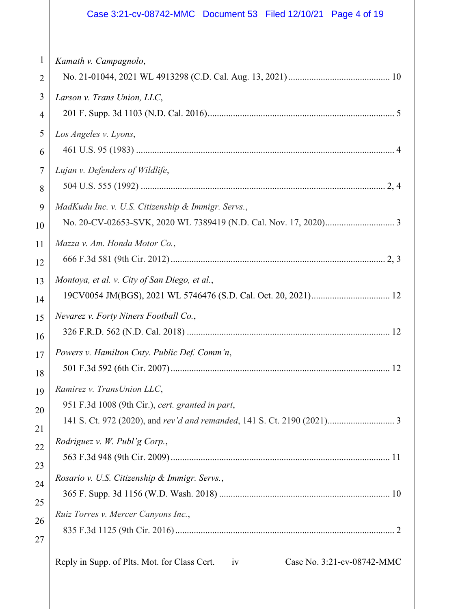|                | Case 3:21-cv-08742-MMC  Document 53  Filed 12/10/21  Page 4 of 19                |  |  |
|----------------|----------------------------------------------------------------------------------|--|--|
| $\mathbf{1}$   | Kamath v. Campagnolo,                                                            |  |  |
| $\overline{2}$ |                                                                                  |  |  |
| 3              | Larson v. Trans Union, LLC,                                                      |  |  |
| 4              |                                                                                  |  |  |
| 5              | Los Angeles v. Lyons,                                                            |  |  |
| 6              |                                                                                  |  |  |
| $\overline{7}$ | Lujan v. Defenders of Wildlife,                                                  |  |  |
| 8              |                                                                                  |  |  |
| 9              | MadKudu Inc. v. U.S. Citizenship & Immigr. Servs.,                               |  |  |
| 10             |                                                                                  |  |  |
| 11             | Mazza v. Am. Honda Motor Co.,                                                    |  |  |
| 12             |                                                                                  |  |  |
| 13             | Montoya, et al. v. City of San Diego, et al.,                                    |  |  |
| 14             |                                                                                  |  |  |
| 15             | Nevarez v. Forty Niners Football Co.,                                            |  |  |
| 16             |                                                                                  |  |  |
| 17             | Powers v. Hamilton Cnty. Public Def. Comm'n,                                     |  |  |
| 18             |                                                                                  |  |  |
| 19             | Ramirez v. TransUnion LLC,                                                       |  |  |
| 20             | 951 F.3d 1008 (9th Cir.), cert. granted in part,                                 |  |  |
| 21             |                                                                                  |  |  |
| 22             | Rodriguez v. W. Publ'g Corp.,                                                    |  |  |
| 23             |                                                                                  |  |  |
| 24             | Rosario v. U.S. Citizenship & Immigr. Servs.,                                    |  |  |
| 25             |                                                                                  |  |  |
| 26             | Ruiz Torres v. Mercer Canyons Inc.,                                              |  |  |
| 27             |                                                                                  |  |  |
|                | Reply in Supp. of Plts. Mot. for Class Cert.<br>Case No. 3:21-cv-08742-MMC<br>iv |  |  |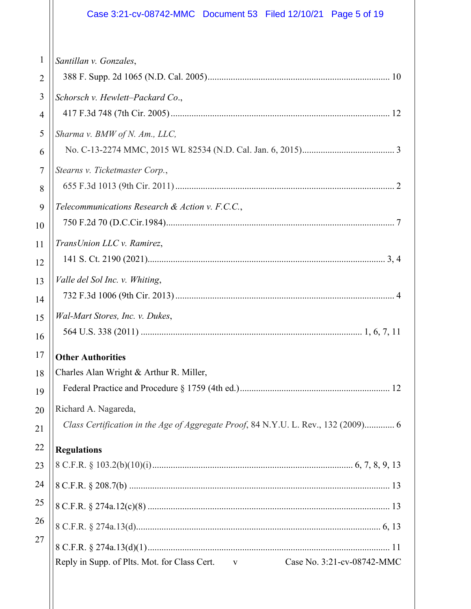## Case 3:21-cv-08742-MMC Document 53 Filed 12/10/21 Page 5 of 19

| $\mathbf{1}$   | Santillan v. Gonzales,                                                                    |
|----------------|-------------------------------------------------------------------------------------------|
| $\overline{2}$ |                                                                                           |
| 3              | Schorsch v. Hewlett-Packard Co.,                                                          |
| 4              |                                                                                           |
| 5              | Sharma v. BMW of N. Am., LLC,                                                             |
| 6              |                                                                                           |
| $\tau$         | Stearns v. Ticketmaster Corp.,                                                            |
| 8              |                                                                                           |
| 9              | Telecommunications Research & Action v. F.C.C.,                                           |
| 10             |                                                                                           |
| 11             | TransUnion LLC v. Ramirez,                                                                |
| 12             |                                                                                           |
| 13             | Valle del Sol Inc. v. Whiting,                                                            |
| 14             |                                                                                           |
| 15             | Wal-Mart Stores, Inc. v. Dukes,                                                           |
| 16             |                                                                                           |
| 17             | <b>Other Authorities</b>                                                                  |
| 18             | Charles Alan Wright & Arthur R. Miller,                                                   |
| 19             |                                                                                           |
| 20             | Richard A. Nagareda,                                                                      |
| 21             | Class Certification in the Age of Aggregate Proof, 84 N.Y.U. L. Rev., 132 (2009) 6        |
| 22             | <b>Regulations</b>                                                                        |
| 23             |                                                                                           |
| 24             |                                                                                           |
| 25             |                                                                                           |
| 26             |                                                                                           |
| 27             |                                                                                           |
|                | Case No. 3:21-cv-08742-MMC<br>Reply in Supp. of Plts. Mot. for Class Cert.<br>$\mathbf V$ |
|                |                                                                                           |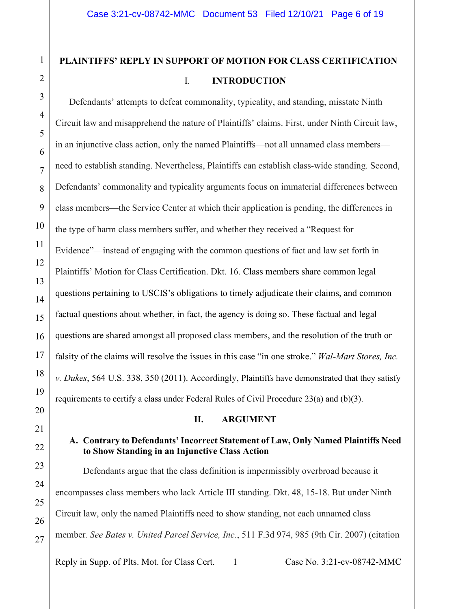# **PLAINTIFFS' REPLY IN SUPPORT OF MOTION FOR CLASS CERTIFICATION**  I. **INTRODUCTION**

Defendants' attempts to defeat commonality, typicality, and standing, misstate Ninth Circuit law and misapprehend the nature of Plaintiffs' claims. First, under Ninth Circuit law, in an injunctive class action, only the named Plaintiffs—not all unnamed class members need to establish standing. Nevertheless, Plaintiffs can establish class-wide standing. Second, Defendants' commonality and typicality arguments focus on immaterial differences between class members—the Service Center at which their application is pending, the differences in the type of harm class members suffer, and whether they received a "Request for Evidence"—instead of engaging with the common questions of fact and law set forth in Plaintiffs' Motion for Class Certification. Dkt. 16. Class members share common legal questions pertaining to USCIS's obligations to timely adjudicate their claims, and common factual questions about whether, in fact, the agency is doing so. These factual and legal questions are shared amongst all proposed class members, and the resolution of the truth or falsity of the claims will resolve the issues in this case "in one stroke." *Wal-Mart Stores, Inc. v. Dukes*, 564 U.S. 338, 350 (2011). Accordingly, Plaintiffs have demonstrated that they satisfy requirements to certify a class under Federal Rules of Civil Procedure 23(a) and (b)(3).

#### **II. ARGUMENT**

## **A. Contrary to Defendants' Incorrect Statement of Law, Only Named Plaintiffs Need to Show Standing in an Injunctive Class Action**

Defendants argue that the class definition is impermissibly overbroad because it encompasses class members who lack Article III standing. Dkt. 48, 15-18. But under Ninth Circuit law, only the named Plaintiffs need to show standing, not each unnamed class member*. See Bates v. United Parcel Service, Inc.*, 511 F.3d 974, 985 (9th Cir. 2007) (citation

Reply in Supp. of Plts. Mot. for Class Cert. 1 Case No. 3:21-cv-08742-MMC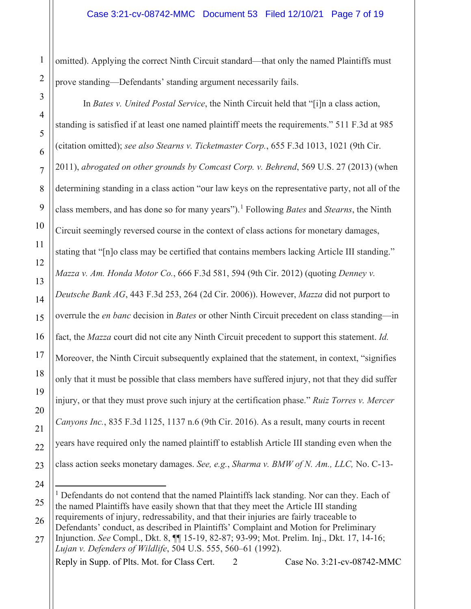1 omitted). Applying the correct Ninth Circuit standard—that only the named Plaintiffs must prove standing—Defendants' standing argument necessarily fails.

In *Bates v. United Postal Service*, the Ninth Circuit held that "[i]n a class action, standing is satisfied if at least one named plaintiff meets the requirements." 511 F.3d at 985 (citation omitted); *see also Stearns v. Ticketmaster Corp.*, 655 F.3d 1013, 1021 (9th Cir. 2011), *abrogated on other grounds by Comcast Corp. v. Behrend*, 569 U.S. 27 (2013) (when determining standing in a class action "our law keys on the representative party, not all of the class members, and has done so for many years"). [1](#page-6-0) Following *Bates* and *Stearns*, the Ninth Circuit seemingly reversed course in the context of class actions for monetary damages, stating that "[n]o class may be certified that contains members lacking Article III standing." *Mazza v. Am. Honda Motor Co.*, 666 F.3d 581, 594 (9th Cir. 2012) (quoting *Denney v. Deutsche Bank AG*, 443 F.3d 253, 264 (2d Cir. 2006)). However, *Mazza* did not purport to overrule the *en banc* decision in *Bates* or other Ninth Circuit precedent on class standing—in fact, the *Mazza* court did not cite any Ninth Circuit precedent to support this statement. *Id.* Moreover, the Ninth Circuit subsequently explained that the statement, in context, "signifies only that it must be possible that class members have suffered injury, not that they did suffer injury, or that they must prove such injury at the certification phase." *Ruiz Torres v. Mercer Canyons Inc.*, 835 F.3d 1125, 1137 n.6 (9th Cir. 2016). As a result, many courts in recent years have required only the named plaintiff to establish Article III standing even when the class action seeks monetary damages. *See, e.g.*, *Sharma v. BMW of N. Am., LLC,* No. C-13-

Reply in Supp. of Plts. Mot. for Class Cert. 2 Case No. 3:21-cv-08742-MMC

<span id="page-6-0"></span><sup>&</sup>lt;sup>1</sup> Defendants do not contend that the named Plaintiffs lack standing. Nor can they. Each of the named Plaintiffs have easily shown that that they meet the Article III standing requirements of injury, redressability, and that their injuries are fairly traceable to Defendants' conduct, as described in Plaintiffs' Complaint and Motion for Preliminary

Injunction. *See* Compl., Dkt. 8, ¶¶ 15-19, 82-87; 93-99; Mot. Prelim. Inj., Dkt. 17, 14-16; *Lujan v. Defenders of Wildlife*, 504 U.S. 555, 560–61 (1992).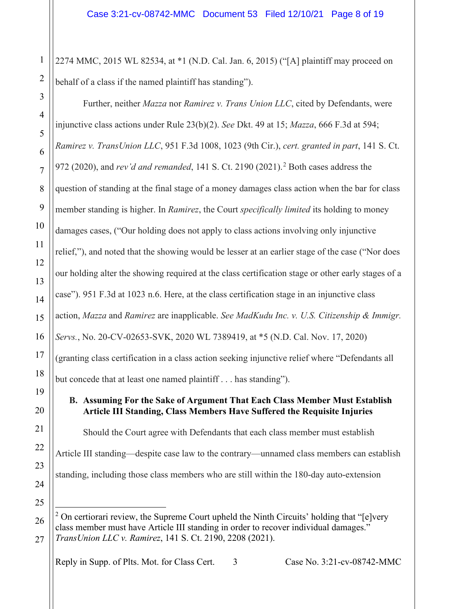2274 MMC, 2015 WL 82534, at \*1 (N.D. Cal. Jan. 6, 2015) ("[A] plaintiff may proceed on behalf of a class if the named plaintiff has standing").

Further, neither *Mazza* nor *Ramirez v. Trans Union LLC*, cited by Defendants, were injunctive class actions under Rule 23(b)(2). *See* Dkt. 49 at 15; *Mazza*, 666 F.3d at 594; *Ramirez v. TransUnion LLC*, 951 F.3d 1008, 1023 (9th Cir.), *cert. granted in part*, 141 S. Ct. 972 (2020), and *rev'd and remanded*, 141 S. Ct. 2190 (2021). [2](#page-7-0) Both cases address the question of standing at the final stage of a money damages class action when the bar for class member standing is higher. In *Ramirez*, the Court *specifically limited* its holding to money damages cases, ("Our holding does not apply to class actions involving only injunctive relief,"), and noted that the showing would be lesser at an earlier stage of the case ("Nor does our holding alter the showing required at the class certification stage or other early stages of a case"). 951 F.3d at 1023 n.6. Here, at the class certification stage in an injunctive class action, *Mazza* and *Ramirez* are inapplicable. *See MadKudu Inc. v. U.S. Citizenship & Immigr. Servs.*, No. 20-CV-02653-SVK, 2020 WL 7389419, at \*5 (N.D. Cal. Nov. 17, 2020) (granting class certification in a class action seeking injunctive relief where "Defendants all but concede that at least one named plaintiff . . . has standing"). **B. Assuming For the Sake of Argument That Each Class Member Must Establish Article III Standing, Class Members Have Suffered the Requisite Injuries** Should the Court agree with Defendants that each class member must establish Article III standing—despite case law to the contrary—unnamed class members can establish standing, including those class members who are still within the 180-day auto-extension  $2$  On certiorari review, the Supreme Court upheld the Ninth Circuits' holding that "[e]very class member must have Article III standing in order to recover individual damages."

Reply in Supp. of Plts. Mot. for Class Cert. 3 Case No. 3:21-cv-08742-MMC

<span id="page-7-0"></span>*TransUnion LLC v. Ramirez*, 141 S. Ct. 2190, 2208 (2021).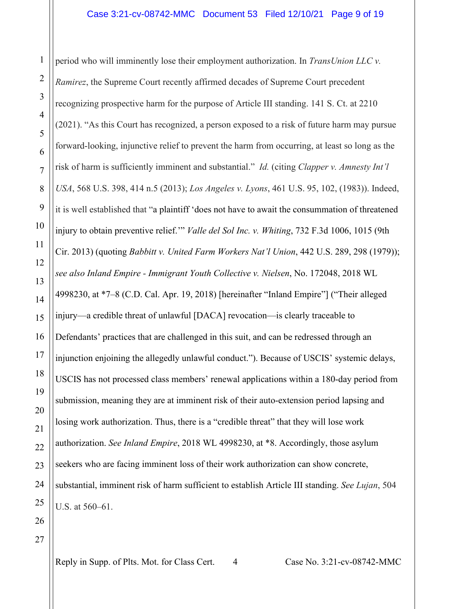period who will imminently lose their employment authorization. In *TransUnion LLC v. Ramirez*, the Supreme Court recently affirmed decades of Supreme Court precedent recognizing prospective harm for the purpose of Article III standing. 141 S. Ct. at 2210 (2021). "As this Court has recognized, a person exposed to a risk of future harm may pursue forward-looking, injunctive relief to prevent the harm from occurring, at least so long as the risk of harm is sufficiently imminent and substantial." *Id.* (citing *Clapper v. Amnesty Int'l USA*, 568 U.S. 398, 414 n.5 (2013); *Los Angeles v. Lyons*, 461 U.S. 95, 102, (1983)). Indeed, it is well established that "a plaintiff 'does not have to await the consummation of threatened injury to obtain preventive relief.'" *Valle del Sol Inc. v. Whiting*, 732 F.3d 1006, 1015 (9th Cir. 2013) (quoting *Babbitt v. United Farm Workers Nat'l Union*, 442 U.S. 289, 298 (1979)); *see also Inland Empire - Immigrant Youth Collective v. Nielsen*, No. 172048, 2018 WL 4998230, at \*7–8 (C.D. Cal. Apr. 19, 2018) [hereinafter "Inland Empire"] ("Their alleged injury—a credible threat of unlawful [DACA] revocation—is clearly traceable to Defendants' practices that are challenged in this suit, and can be redressed through an injunction enjoining the allegedly unlawful conduct."). Because of USCIS' systemic delays, USCIS has not processed class members' renewal applications within a 180-day period from submission, meaning they are at imminent risk of their auto-extension period lapsing and losing work authorization. Thus, there is a "credible threat" that they will lose work authorization. *See Inland Empire*, 2018 WL 4998230, at \*8. Accordingly, those asylum seekers who are facing imminent loss of their work authorization can show concrete, substantial, imminent risk of harm sufficient to establish Article III standing. *See Lujan*, 504 U.S. at 560–61.

1

2

3

4

Reply in Supp. of Plts. Mot. for Class Cert. 4 Case No. 3:21-cv-08742-MMC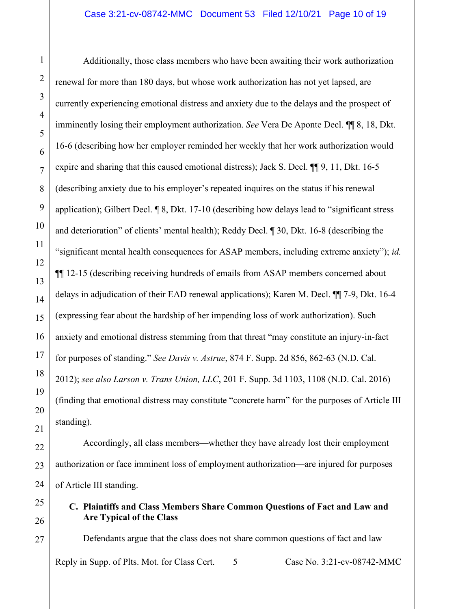Additionally, those class members who have been awaiting their work authorization renewal for more than 180 days, but whose work authorization has not yet lapsed, are currently experiencing emotional distress and anxiety due to the delays and the prospect of imminently losing their employment authorization. *See* Vera De Aponte Decl. ¶¶ 8, 18, Dkt. 16-6 (describing how her employer reminded her weekly that her work authorization would expire and sharing that this caused emotional distress); Jack S. Decl. ¶¶ 9, 11, Dkt. 16-5 (describing anxiety due to his employer's repeated inquires on the status if his renewal application); Gilbert Decl. ¶ 8, Dkt. 17-10 (describing how delays lead to "significant stress and deterioration" of clients' mental health); Reddy Decl. ¶ 30, Dkt. 16-8 (describing the "significant mental health consequences for ASAP members, including extreme anxiety"); *id.*  ¶¶ 12-15 (describing receiving hundreds of emails from ASAP members concerned about delays in adjudication of their EAD renewal applications); Karen M. Decl. ¶¶ 7-9, Dkt. 16-4 (expressing fear about the hardship of her impending loss of work authorization). Such anxiety and emotional distress stemming from that threat "may constitute an injury-in-fact for purposes of standing." *See Davis v. Astrue*, 874 F. Supp. 2d 856, 862-63 (N.D. Cal. 2012); *see also Larson v. Trans Union, LLC*, 201 F. Supp. 3d 1103, 1108 (N.D. Cal. 2016) (finding that emotional distress may constitute "concrete harm" for the purposes of Article III standing).

Accordingly, all class members—whether they have already lost their employment authorization or face imminent loss of employment authorization—are injured for purposes of Article III standing.

**C. Plaintiffs and Class Members Share Common Questions of Fact and Law and Are Typical of the Class**

Reply in Supp. of Plts. Mot. for Class Cert. 5 Case No. 3:21-cv-08742-MMC Defendants argue that the class does not share common questions of fact and law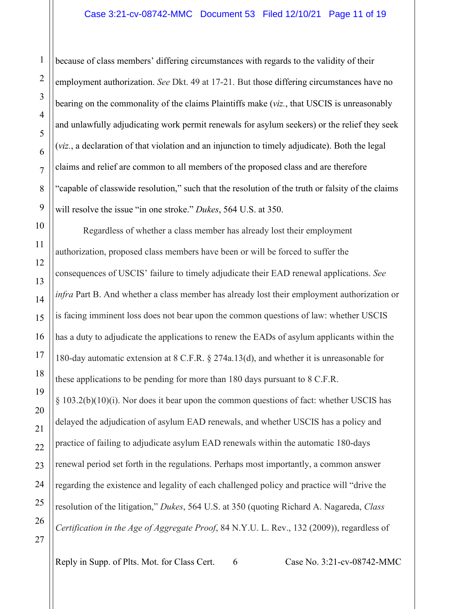#### Case 3:21-cv-08742-MMC Document 53 Filed 12/10/21 Page 11 of 19

because of class members' differing circumstances with regards to the validity of their employment authorization. *See* Dkt. 49 at 17-21. But those differing circumstances have no bearing on the commonality of the claims Plaintiffs make (*viz.*, that USCIS is unreasonably and unlawfully adjudicating work permit renewals for asylum seekers) or the relief they seek (*viz.*, a declaration of that violation and an injunction to timely adjudicate). Both the legal claims and relief are common to all members of the proposed class and are therefore "capable of classwide resolution," such that the resolution of the truth or falsity of the claims will resolve the issue "in one stroke." *Dukes*, 564 U.S. at 350.

Regardless of whether a class member has already lost their employment authorization, proposed class members have been or will be forced to suffer the consequences of USCIS' failure to timely adjudicate their EAD renewal applications. *See infra* Part B. And whether a class member has already lost their employment authorization or is facing imminent loss does not bear upon the common questions of law: whether USCIS has a duty to adjudicate the applications to renew the EADs of asylum applicants within the 180-day automatic extension at 8 C.F.R. § 274a.13(d), and whether it is unreasonable for these applications to be pending for more than 180 days pursuant to 8 C.F.R.  $\S 103.2(b)(10)(i)$ . Nor does it bear upon the common questions of fact: whether USCIS has delayed the adjudication of asylum EAD renewals, and whether USCIS has a policy and practice of failing to adjudicate asylum EAD renewals within the automatic 180-days renewal period set forth in the regulations. Perhaps most importantly, a common answer regarding the existence and legality of each challenged policy and practice will "drive the resolution of the litigation," *Dukes*, 564 U.S. at 350 (quoting Richard A. Nagareda, *Class Certification in the Age of Aggregate Proof*, 84 N.Y.U. L. Rev., 132 (2009)), regardless of

Reply in Supp. of Plts. Mot. for Class Cert. 6 Case No. 3:21-cv-08742-MMC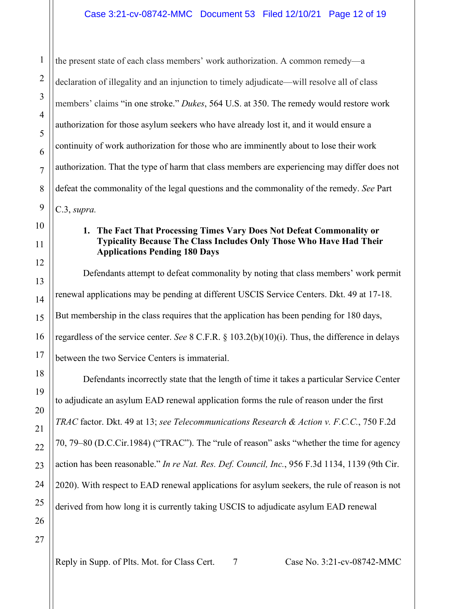the present state of each class members' work authorization. A common remedy—a declaration of illegality and an injunction to timely adjudicate—will resolve all of class members' claims "in one stroke." *Dukes*, 564 U.S. at 350. The remedy would restore work authorization for those asylum seekers who have already lost it, and it would ensure a continuity of work authorization for those who are imminently about to lose their work authorization. That the type of harm that class members are experiencing may differ does not defeat the commonality of the legal questions and the commonality of the remedy. *See* Part C.3, *supra.*

## **1. The Fact That Processing Times Vary Does Not Defeat Commonality or Typicality Because The Class Includes Only Those Who Have Had Their Applications Pending 180 Days**

Defendants attempt to defeat commonality by noting that class members' work permit renewal applications may be pending at different USCIS Service Centers. Dkt. 49 at 17-18. But membership in the class requires that the application has been pending for 180 days, regardless of the service center. *See* 8 C.F.R. § 103.2(b)(10)(i). Thus, the difference in delays between the two Service Centers is immaterial.

Defendants incorrectly state that the length of time it takes a particular Service Center to adjudicate an asylum EAD renewal application forms the rule of reason under the first *TRAC* factor. Dkt. 49 at 13; *see Telecommunications Research & Action v. F.C.C.*, 750 F.2d 70, 79–80 (D.C.Cir.1984) ("TRAC"). The "rule of reason" asks "whether the time for agency action has been reasonable." *In re Nat. Res. Def. Council, Inc.*, 956 F.3d 1134, 1139 (9th Cir. 2020). With respect to EAD renewal applications for asylum seekers, the rule of reason is not derived from how long it is currently taking USCIS to adjudicate asylum EAD renewal

1

2

3

4

5

6

7

8

9

10

11

12

13

14

15

16

17

18

19

20

21

22

23

24

25

26

Reply in Supp. of Plts. Mot. for Class Cert. 7 Case No. 3:21-cv-08742-MMC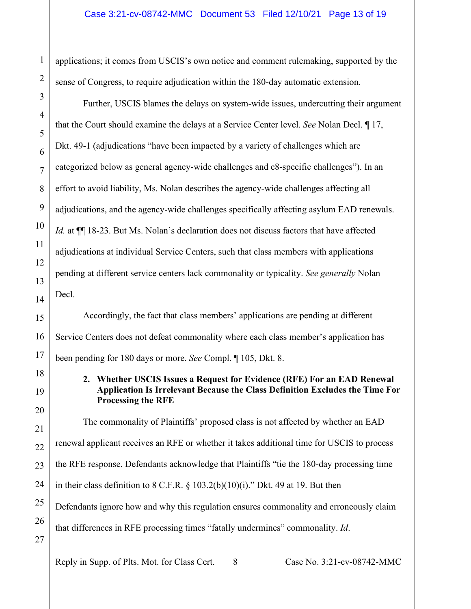applications; it comes from USCIS's own notice and comment rulemaking, supported by the sense of Congress, to require adjudication within the 180-day automatic extension.

Further, USCIS blames the delays on system-wide issues, undercutting their argument that the Court should examine the delays at a Service Center level. *See* Nolan Decl. ¶ 17, Dkt. 49-1 (adjudications "have been impacted by a variety of challenges which are categorized below as general agency-wide challenges and c8-specific challenges"). In an effort to avoid liability, Ms. Nolan describes the agency-wide challenges affecting all adjudications, and the agency-wide challenges specifically affecting asylum EAD renewals. Id. at **[1]** 18-23. But Ms. Nolan's declaration does not discuss factors that have affected adjudications at individual Service Centers, such that class members with applications pending at different service centers lack commonality or typicality. *See generally* Nolan Decl.

Accordingly, the fact that class members' applications are pending at different Service Centers does not defeat commonality where each class member's application has been pending for 180 days or more. *See* Compl. ¶ 105, Dkt. 8.

### **2. Whether USCIS Issues a Request for Evidence (RFE) For an EAD Renewal Application Is Irrelevant Because the Class Definition Excludes the Time For Processing the RFE**

The commonality of Plaintiffs' proposed class is not affected by whether an EAD renewal applicant receives an RFE or whether it takes additional time for USCIS to process the RFE response. Defendants acknowledge that Plaintiffs "tie the 180-day processing time in their class definition to  $8$  C.F.R.  $\S$  103.2(b)(10)(i)." Dkt. 49 at 19. But then Defendants ignore how and why this regulation ensures commonality and erroneously claim that differences in RFE processing times "fatally undermines" commonality. *Id*.

27

1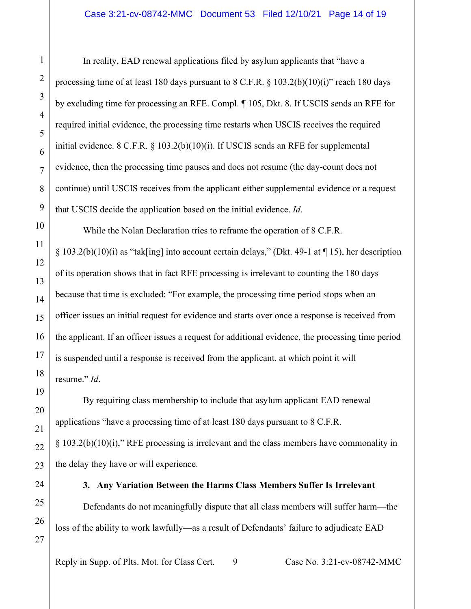In reality, EAD renewal applications filed by asylum applicants that "have a processing time of at least 180 days pursuant to 8 C.F.R.  $\S$  103.2(b)(10)(i)" reach 180 days by excluding time for processing an RFE. Compl. ¶ 105, Dkt. 8. If USCIS sends an RFE for required initial evidence, the processing time restarts when USCIS receives the required initial evidence.  $8 \text{ C.F.R. } \frac{103.2(b)(10)(i)}{i}$ . If USCIS sends an RFE for supplemental evidence, then the processing time pauses and does not resume (the day-count does not continue) until USCIS receives from the applicant either supplemental evidence or a request that USCIS decide the application based on the initial evidence. *Id*.

While the Nolan Declaration tries to reframe the operation of 8 C.F.R. § 103.2(b)(10)(i) as "tak[ing] into account certain delays," (Dkt. 49-1 at ¶ 15), her description of its operation shows that in fact RFE processing is irrelevant to counting the 180 days because that time is excluded: "For example, the processing time period stops when an officer issues an initial request for evidence and starts over once a response is received from the applicant. If an officer issues a request for additional evidence, the processing time period is suspended until a response is received from the applicant, at which point it will resume." *Id*.

By requiring class membership to include that asylum applicant EAD renewal applications "have a processing time of at least 180 days pursuant to 8 C.F.R. § 103.2(b)(10)(i)," RFE processing is irrelevant and the class members have commonality in the delay they have or will experience.

Defendants do not meaningfully dispute that all class members will suffer harm—the loss of the ability to work lawfully—as a result of Defendants' failure to adjudicate EAD

**3. Any Variation Between the Harms Class Members Suffer Is Irrelevant**

Reply in Supp. of Plts. Mot. for Class Cert. 9 Case No. 3:21-cv-08742-MMC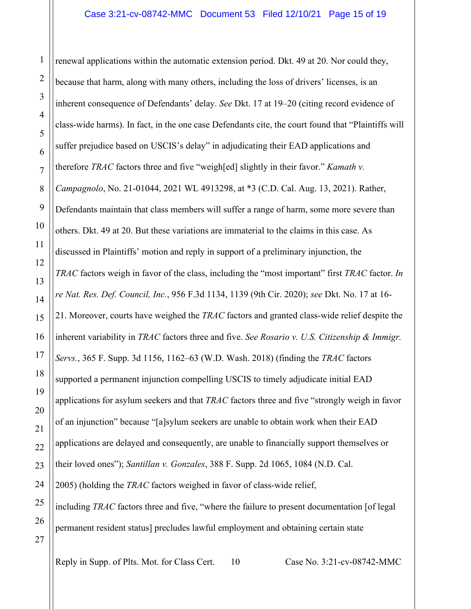3 4 8 9 10 12 13 14 15 16 17 18 19 20 22 23 24 25 26 27 renewal applications within the automatic extension period. Dkt. 49 at 20. Nor could they, because that harm, along with many others, including the loss of drivers' licenses, is an inherent consequence of Defendants' delay. *See* Dkt. 17 at 19–20 (citing record evidence of class-wide harms). In fact, in the one case Defendants cite, the court found that "Plaintiffs will suffer prejudice based on USCIS's delay" in adjudicating their EAD applications and therefore *TRAC* factors three and five "weigh[ed] slightly in their favor." *Kamath v. Campagnolo*, No. 21-01044, 2021 WL 4913298, at \*3 (C.D. Cal. Aug. 13, 2021). Rather, Defendants maintain that class members will suffer a range of harm, some more severe than others. Dkt. 49 at 20. But these variations are immaterial to the claims in this case. As discussed in Plaintiffs' motion and reply in support of a preliminary injunction, the *TRAC* factors weigh in favor of the class, including the "most important" first *TRAC* factor. *In re Nat. Res. Def. Council, Inc.*, 956 F.3d 1134, 1139 (9th Cir. 2020); *see* Dkt. No. 17 at 16- 21. Moreover, courts have weighed the *TRAC* factors and granted class-wide relief despite the inherent variability in *TRAC* factors three and five. *See Rosario v. U.S. Citizenship & Immigr. Servs.*, 365 F. Supp. 3d 1156, 1162–63 (W.D. Wash. 2018) (finding the *TRAC* factors supported a permanent injunction compelling USCIS to timely adjudicate initial EAD applications for asylum seekers and that *TRAC* factors three and five "strongly weigh in favor of an injunction" because "[a]sylum seekers are unable to obtain work when their EAD applications are delayed and consequently, are unable to financially support themselves or their loved ones"); *Santillan v. Gonzales*, 388 F. Supp. 2d 1065, 1084 (N.D. Cal. 2005) (holding the *TRAC* factors weighed in favor of class-wide relief, including *TRAC* factors three and five, "where the failure to present documentation [of legal permanent resident status] precludes lawful employment and obtaining certain state

Reply in Supp. of Plts. Mot. for Class Cert. 10 Case No. 3:21-cv-08742-MMC

1

2

5

6

7

11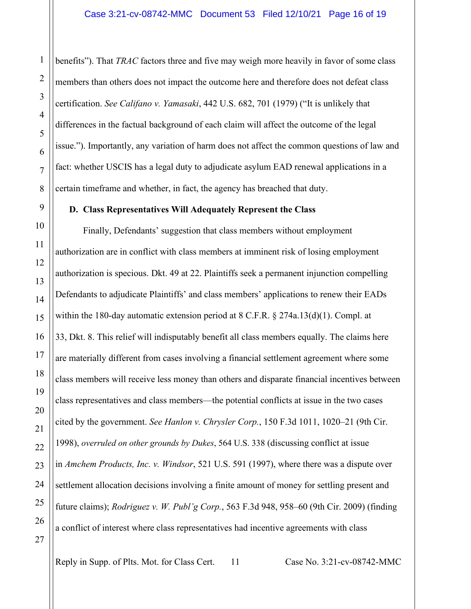benefits"). That *TRAC* factors three and five may weigh more heavily in favor of some class members than others does not impact the outcome here and therefore does not defeat class certification. *See Califano v. Yamasaki*, 442 U.S. 682, 701 (1979) ("It is unlikely that differences in the factual background of each claim will affect the outcome of the legal issue."). Importantly, any variation of harm does not affect the common questions of law and fact: whether USCIS has a legal duty to adjudicate asylum EAD renewal applications in a certain timeframe and whether, in fact, the agency has breached that duty.

#### **D. Class Representatives Will Adequately Represent the Class**

Finally, Defendants' suggestion that class members without employment authorization are in conflict with class members at imminent risk of losing employment authorization is specious. Dkt. 49 at 22. Plaintiffs seek a permanent injunction compelling Defendants to adjudicate Plaintiffs' and class members' applications to renew their EADs within the 180-day automatic extension period at 8 C.F.R. § 274a.13(d)(1). Compl. at 33, Dkt. 8. This relief will indisputably benefit all class members equally. The claims here are materially different from cases involving a financial settlement agreement where some class members will receive less money than others and disparate financial incentives between class representatives and class members—the potential conflicts at issue in the two cases cited by the government. *See Hanlon v. Chrysler Corp.*, 150 F.3d 1011, 1020–21 (9th Cir. 1998), *overruled on other grounds by Dukes*, 564 U.S. 338 (discussing conflict at issue in *Amchem Products, Inc. v. Windsor*, 521 U.S. 591 (1997), where there was a dispute over settlement allocation decisions involving a finite amount of money for settling present and future claims); *Rodriguez v. W. Publ'g Corp.*, 563 F.3d 948, 958–60 (9th Cir. 2009) (finding a conflict of interest where class representatives had incentive agreements with class

Reply in Supp. of Plts. Mot. for Class Cert. 11 Case No. 3:21-cv-08742-MMC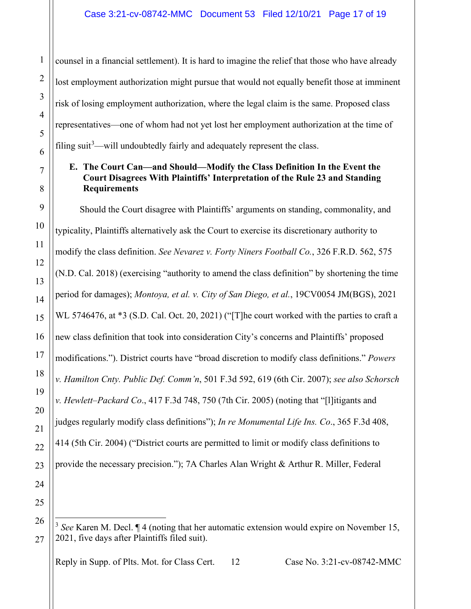counsel in a financial settlement). It is hard to imagine the relief that those who have already lost employment authorization might pursue that would not equally benefit those at imminent risk of losing employment authorization, where the legal claim is the same. Proposed class representatives—one of whom had not yet lost her employment authorization at the time of filing suit<sup>[3](#page-16-0)</sup>—will undoubtedly fairly and adequately represent the class.

## **E. The Court Can—and Should—Modify the Class Definition In the Event the Court Disagrees With Plaintiffs' Interpretation of the Rule 23 and Standing Requirements**

Should the Court disagree with Plaintiffs' arguments on standing, commonality, and typicality, Plaintiffs alternatively ask the Court to exercise its discretionary authority to modify the class definition. *See Nevarez v. Forty Niners Football Co.*, 326 F.R.D. 562, 575 (N.D. Cal. 2018) (exercising "authority to amend the class definition" by shortening the time period for damages); *Montoya, et al. v. City of San Diego, et al.*, 19CV0054 JM(BGS), 2021 WL 5746476, at \*3 (S.D. Cal. Oct. 20, 2021) ("[T]he court worked with the parties to craft a new class definition that took into consideration City's concerns and Plaintiffs' proposed modifications."). District courts have "broad discretion to modify class definitions." *Powers v. Hamilton Cnty. Public Def. Comm'n*, 501 F.3d 592, 619 (6th Cir. 2007); *see also Schorsch v. Hewlett–Packard Co*., 417 F.3d 748, 750 (7th Cir. 2005) (noting that "[l]itigants and judges regularly modify class definitions"); *In re Monumental Life Ins. Co*., 365 F.3d 408, 414 (5th Cir. 2004) ("District courts are permitted to limit or modify class definitions to provide the necessary precision."); 7A Charles Alan Wright & Arthur R. Miller, Federal

Reply in Supp. of Plts. Mot. for Class Cert. 12 Case No. 3:21-cv-08742-MMC

1

2

3

4

5

6

7

8

9

10

11

12

13

14

15

16

17

18

19

20

21

22

23

24

<span id="page-16-0"></span><sup>26</sup> 27

<sup>3</sup> *See* Karen M. Decl. ¶ 4 (noting that her automatic extension would expire on November 15, 2021, five days after Plaintiffs filed suit).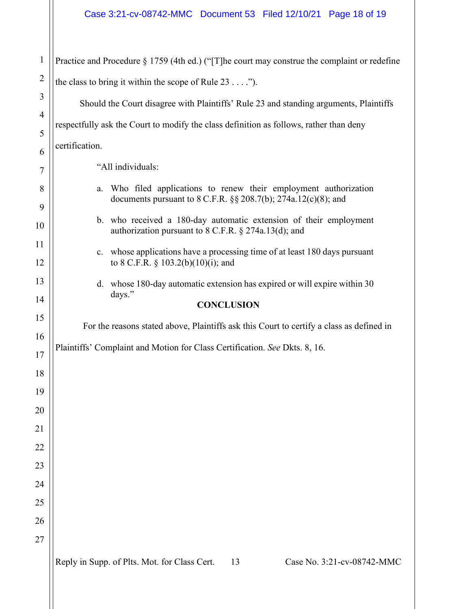| $\mathbf{1}$          | Practice and Procedure $\S 1759$ (4th ed.) ("[T] he court may construe the complaint or redefine                                             |  |  |  |
|-----------------------|----------------------------------------------------------------------------------------------------------------------------------------------|--|--|--|
| $\overline{2}$        | the class to bring it within the scope of Rule $23$ ").                                                                                      |  |  |  |
| 3                     | Should the Court disagree with Plaintiffs' Rule 23 and standing arguments, Plaintiffs                                                        |  |  |  |
| $\overline{4}$        | respectfully ask the Court to modify the class definition as follows, rather than deny                                                       |  |  |  |
| 5                     | certification.                                                                                                                               |  |  |  |
| 6<br>$\boldsymbol{7}$ | "All individuals:                                                                                                                            |  |  |  |
| 8                     | Who filed applications to renew their employment authorization<br>a.<br>documents pursuant to $8$ C.F.R. $\S$ § 208.7(b); 274a.12(c)(8); and |  |  |  |
| 9<br>10               | b. who received a 180-day automatic extension of their employment<br>authorization pursuant to 8 C.F.R. § 274a.13(d); and                    |  |  |  |
| 11<br>12              | c. whose applications have a processing time of at least 180 days pursuant<br>to 8 C.F.R. § 103.2(b)(10)(i); and                             |  |  |  |
| 13                    | d. whose 180-day automatic extension has expired or will expire within 30                                                                    |  |  |  |
| 14                    | days."<br><b>CONCLUSION</b>                                                                                                                  |  |  |  |
| 15                    | For the reasons stated above, Plaintiffs ask this Court to certify a class as defined in                                                     |  |  |  |
| 16                    | Plaintiffs' Complaint and Motion for Class Certification. See Dkts. 8, 16.                                                                   |  |  |  |
| 17                    |                                                                                                                                              |  |  |  |
| 18                    |                                                                                                                                              |  |  |  |
| 19                    |                                                                                                                                              |  |  |  |
| 20                    |                                                                                                                                              |  |  |  |
| 21                    |                                                                                                                                              |  |  |  |
| 22                    |                                                                                                                                              |  |  |  |
| 23                    |                                                                                                                                              |  |  |  |
| 24                    |                                                                                                                                              |  |  |  |
| 25                    |                                                                                                                                              |  |  |  |
| 26                    |                                                                                                                                              |  |  |  |
| 27                    |                                                                                                                                              |  |  |  |
|                       | Reply in Supp. of Plts. Mot. for Class Cert.<br>Case No. 3:21-cv-08742-MMC<br>13                                                             |  |  |  |